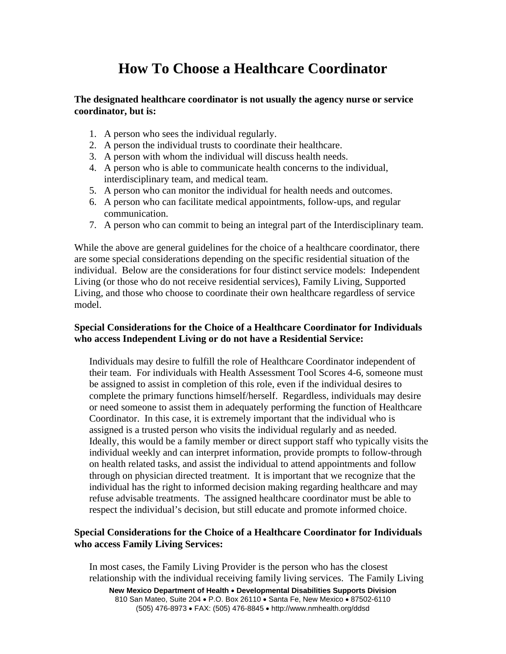# **How To Choose a Healthcare Coordinator**

#### **The designated healthcare coordinator is not usually the agency nurse or service coordinator, but is:**

- 1. A person who sees the individual regularly.
- 2. A person the individual trusts to coordinate their healthcare.
- 3. A person with whom the individual will discuss health needs.
- 4. A person who is able to communicate health concerns to the individual, interdisciplinary team, and medical team.
- 5. A person who can monitor the individual for health needs and outcomes.
- 6. A person who can facilitate medical appointments, follow-ups, and regular communication.
- 7. A person who can commit to being an integral part of the Interdisciplinary team.

While the above are general guidelines for the choice of a healthcare coordinator, there are some special considerations depending on the specific residential situation of the individual. Below are the considerations for four distinct service models: Independent Living (or those who do not receive residential services), Family Living, Supported Living, and those who choose to coordinate their own healthcare regardless of service model.

# **Special Considerations for the Choice of a Healthcare Coordinator for Individuals who access Independent Living or do not have a Residential Service:**

Individuals may desire to fulfill the role of Healthcare Coordinator independent of their team. For individuals with Health Assessment Tool Scores 4-6, someone must be assigned to assist in completion of this role, even if the individual desires to complete the primary functions himself/herself. Regardless, individuals may desire or need someone to assist them in adequately performing the function of Healthcare Coordinator. In this case, it is extremely important that the individual who is assigned is a trusted person who visits the individual regularly and as needed. Ideally, this would be a family member or direct support staff who typically visits the individual weekly and can interpret information, provide prompts to follow-through on health related tasks, and assist the individual to attend appointments and follow through on physician directed treatment. It is important that we recognize that the individual has the right to informed decision making regarding healthcare and may refuse advisable treatments. The assigned healthcare coordinator must be able to respect the individual's decision, but still educate and promote informed choice.

# **Special Considerations for the Choice of a Healthcare Coordinator for Individuals who access Family Living Services:**

**New Mexico Department of Health** • **Developmental Disabilities Supports Division** 810 San Mateo, Suite 204 • P.O. Box 26110 • Santa Fe, New Mexico • 87502-6110 (505) 476-8973 • FAX: (505) 476-8845 • http://www.nmhealth.org/ddsd In most cases, the Family Living Provider is the person who has the closest relationship with the individual receiving family living services. The Family Living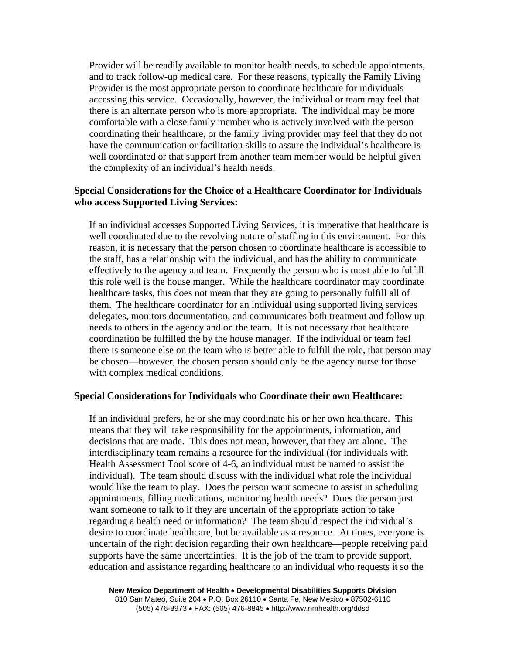Provider will be readily available to monitor health needs, to schedule appointments, and to track follow-up medical care. For these reasons, typically the Family Living Provider is the most appropriate person to coordinate healthcare for individuals accessing this service. Occasionally, however, the individual or team may feel that there is an alternate person who is more appropriate. The individual may be more comfortable with a close family member who is actively involved with the person coordinating their healthcare, or the family living provider may feel that they do not have the communication or facilitation skills to assure the individual's healthcare is well coordinated or that support from another team member would be helpful given the complexity of an individual's health needs.

### **Special Considerations for the Choice of a Healthcare Coordinator for Individuals who access Supported Living Services:**

If an individual accesses Supported Living Services, it is imperative that healthcare is well coordinated due to the revolving nature of staffing in this environment. For this reason, it is necessary that the person chosen to coordinate healthcare is accessible to the staff, has a relationship with the individual, and has the ability to communicate effectively to the agency and team. Frequently the person who is most able to fulfill this role well is the house manger. While the healthcare coordinator may coordinate healthcare tasks, this does not mean that they are going to personally fulfill all of them. The healthcare coordinator for an individual using supported living services delegates, monitors documentation, and communicates both treatment and follow up needs to others in the agency and on the team. It is not necessary that healthcare coordination be fulfilled the by the house manager. If the individual or team feel there is someone else on the team who is better able to fulfill the role, that person may be chosen—however, the chosen person should only be the agency nurse for those with complex medical conditions.

#### **Special Considerations for Individuals who Coordinate their own Healthcare:**

If an individual prefers, he or she may coordinate his or her own healthcare. This means that they will take responsibility for the appointments, information, and decisions that are made. This does not mean, however, that they are alone. The interdisciplinary team remains a resource for the individual (for individuals with Health Assessment Tool score of 4-6, an individual must be named to assist the individual). The team should discuss with the individual what role the individual would like the team to play. Does the person want someone to assist in scheduling appointments, filling medications, monitoring health needs? Does the person just want someone to talk to if they are uncertain of the appropriate action to take regarding a health need or information? The team should respect the individual's desire to coordinate healthcare, but be available as a resource. At times, everyone is uncertain of the right decision regarding their own healthcare—people receiving paid supports have the same uncertainties. It is the job of the team to provide support, education and assistance regarding healthcare to an individual who requests it so the